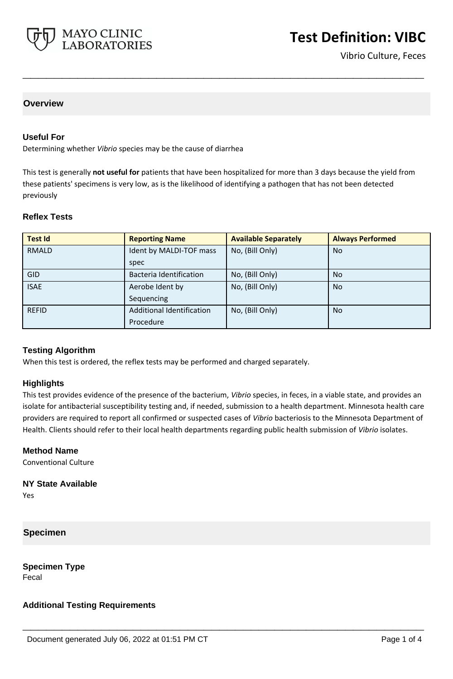

# **Test Definition: VIBC**

Vibrio Culture, Feces

## **Overview**

## **Useful For**

Determining whether *Vibrio* species may be the cause of diarrhea

This test is generally **not useful for** patients that have been hospitalized for more than 3 days because the yield from these patients' specimens is very low, as is the likelihood of identifying a pathogen that has not been detected previously

**\_\_\_\_\_\_\_\_\_\_\_\_\_\_\_\_\_\_\_\_\_\_\_\_\_\_\_\_\_\_\_\_\_\_\_\_\_\_\_\_\_\_\_\_\_\_\_\_\_\_\_**

#### **Reflex Tests**

| <b>Test Id</b> | <b>Reporting Name</b>     | <b>Available Separately</b> | <b>Always Performed</b> |
|----------------|---------------------------|-----------------------------|-------------------------|
| <b>RMALD</b>   | Ident by MALDI-TOF mass   | No, (Bill Only)             | <b>No</b>               |
|                | spec                      |                             |                         |
| <b>GID</b>     | Bacteria Identification   | No, (Bill Only)             | <b>No</b>               |
| <b>ISAE</b>    | Aerobe Ident by           | No, (Bill Only)             | <b>No</b>               |
|                | Sequencing                |                             |                         |
| <b>REFID</b>   | Additional Identification | No, (Bill Only)             | <b>No</b>               |
|                | Procedure                 |                             |                         |

## **Testing Algorithm**

When this test is ordered, the reflex tests may be performed and charged separately.

#### **Highlights**

This test provides evidence of the presence of the bacterium, *Vibrio* species, in feces, in a viable state, and provides an isolate for antibacterial susceptibility testing and, if needed, submission to a health department. Minnesota health care providers are required to report all confirmed or suspected cases of *Vibrio* bacteriosis to the Minnesota Department of Health. Clients should refer to their local health departments regarding public health submission of *Vibrio* isolates.

**\_\_\_\_\_\_\_\_\_\_\_\_\_\_\_\_\_\_\_\_\_\_\_\_\_\_\_\_\_\_\_\_\_\_\_\_\_\_\_\_\_\_\_\_\_\_\_\_\_\_\_**

#### **Method Name**

Conventional Culture

## **NY State Available**

Yes

**Specimen**

**Specimen Type** Fecal

#### **Additional Testing Requirements**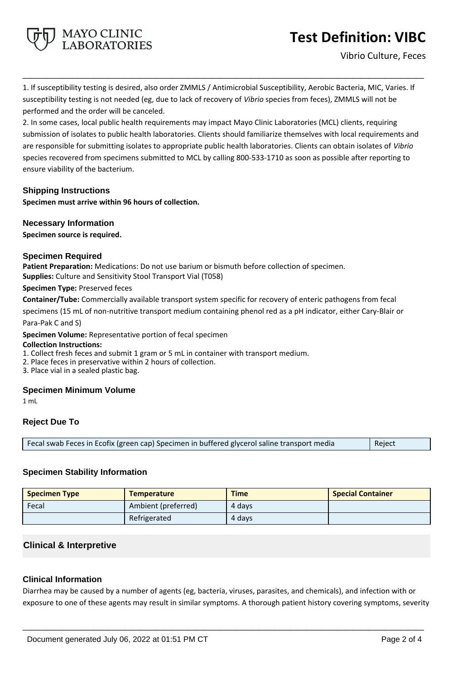# **Test Definition: VIBC**

1. If susceptibility testing is desired, also order ZMMLS / Antimicrobial Susceptibility, Aerobic Bacteria, MIC, Varies. If susceptibility testing is not needed (eg, due to lack of recovery of *Vibrio* species from feces), ZMMLS will not be performed and the order will be canceled.

**\_\_\_\_\_\_\_\_\_\_\_\_\_\_\_\_\_\_\_\_\_\_\_\_\_\_\_\_\_\_\_\_\_\_\_\_\_\_\_\_\_\_\_\_\_\_\_\_\_\_\_**

2. In some cases, local public health requirements may impact Mayo Clinic Laboratories (MCL) clients, requiring submission of isolates to public health laboratories. Clients should familiarize themselves with local requirements and are responsible for submitting isolates to appropriate public health laboratories. Clients can obtain isolates of *Vibrio*  species recovered from specimens submitted to MCL by calling 800-533-1710 as soon as possible after reporting to ensure viability of the bacterium.

## **Shipping Instructions**

**Specimen must arrive within 96 hours of collection.**

MAYO CLINIC **LABORATORIES** 

## **Necessary Information**

**Specimen source is required.**

## **Specimen Required**

**Patient Preparation:** Medications: Do not use barium or bismuth before collection of specimen. **Supplies:** Culture and Sensitivity Stool Transport Vial (T058)

#### **Specimen Type:** Preserved feces

**Container/Tube:** Commercially available transport system specific for recovery of enteric pathogens from fecal

specimens (15 mL of non-nutritive transport medium containing phenol red as a pH indicator, either Cary-Blair or Para-Pak C and S)

**Specimen Volume:** Representative portion of fecal specimen

#### **Collection Instructions:**

- 1. Collect fresh feces and submit 1 gram or 5 mL in container with transport medium.
- 2. Place feces in preservative within 2 hours of collection.
- 3. Place vial in a sealed plastic bag.

## **Specimen Minimum Volume**

1 mL

## **Reject Due To**

| Fecal swab Feces in Ecofix (green cap) Specimen in buffered glycerol saline transport media<br>Reject |
|-------------------------------------------------------------------------------------------------------|
|-------------------------------------------------------------------------------------------------------|

## **Specimen Stability Information**

| <b>Specimen Type</b> | <b>Temperature</b>  | <b>Time</b> | <b>Special Container</b> |
|----------------------|---------------------|-------------|--------------------------|
| Fecal                | Ambient (preferred) | 4 days      |                          |
|                      | Refrigerated        | 4 days      |                          |

## **Clinical & Interpretive**

## **Clinical Information**

Diarrhea may be caused by a number of agents (eg, bacteria, viruses, parasites, and chemicals), and infection with or exposure to one of these agents may result in similar symptoms. A thorough patient history covering symptoms, severity

**\_\_\_\_\_\_\_\_\_\_\_\_\_\_\_\_\_\_\_\_\_\_\_\_\_\_\_\_\_\_\_\_\_\_\_\_\_\_\_\_\_\_\_\_\_\_\_\_\_\_\_**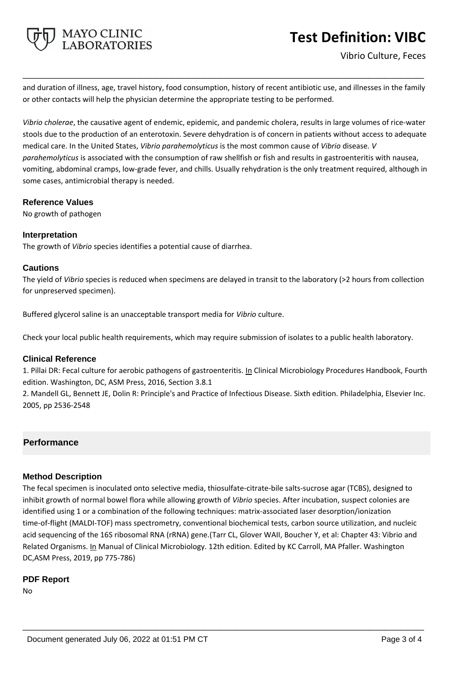

and duration of illness, age, travel history, food consumption, history of recent antibiotic use, and illnesses in the family or other contacts will help the physician determine the appropriate testing to be performed.

**\_\_\_\_\_\_\_\_\_\_\_\_\_\_\_\_\_\_\_\_\_\_\_\_\_\_\_\_\_\_\_\_\_\_\_\_\_\_\_\_\_\_\_\_\_\_\_\_\_\_\_**

*Vibrio cholerae*, the causative agent of endemic, epidemic, and pandemic cholera, results in large volumes of rice-water stools due to the production of an enterotoxin. Severe dehydration is of concern in patients without access to adequate medical care. In the United States, *Vibrio parahemolyticus* is the most common cause of *Vibrio* disease. *V parahemolyticus* is associated with the consumption of raw shellfish or fish and results in gastroenteritis with nausea, vomiting, abdominal cramps, low-grade fever, and chills. Usually rehydration is the only treatment required, although in some cases, antimicrobial therapy is needed.

#### **Reference Values**

No growth of pathogen

## **Interpretation**

The growth of *Vibrio* species identifies a potential cause of diarrhea.

#### **Cautions**

The yield of *Vibrio* species is reduced when specimens are delayed in transit to the laboratory (>2 hours from collection for unpreserved specimen).

Buffered glycerol saline is an unacceptable transport media for *Vibrio* culture.

Check your local public health requirements, which may require submission of isolates to a public health laboratory.

## **Clinical Reference**

1. Pillai DR: Fecal culture for aerobic pathogens of gastroenteritis. In Clinical Microbiology Procedures Handbook, Fourth edition. Washington, DC, ASM Press, 2016, Section 3.8.1

2. Mandell GL, Bennett JE, Dolin R: Principle's and Practice of Infectious Disease. Sixth edition. Philadelphia, Elsevier Inc. 2005, pp 2536-2548

## **Performance**

## **Method Description**

The fecal specimen is inoculated onto selective media, thiosulfate-citrate-bile salts-sucrose agar (TCBS), designed to inhibit growth of normal bowel flora while allowing growth of *Vibrio* species. After incubation, suspect colonies are identified using 1 or a combination of the following techniques: matrix-associated laser desorption/ionization time-of-flight (MALDI-TOF) mass spectrometry, conventional biochemical tests, carbon source utilization, and nucleic acid sequencing of the 16S ribosomal RNA (rRNA) gene.(Tarr CL, Glover WAII, Boucher Y, et al: Chapter 43: Vibrio and Related Organisms. In Manual of Clinical Microbiology. 12th edition. Edited by KC Carroll, MA Pfaller. Washington DC,ASM Press, 2019, pp 775-786)

**\_\_\_\_\_\_\_\_\_\_\_\_\_\_\_\_\_\_\_\_\_\_\_\_\_\_\_\_\_\_\_\_\_\_\_\_\_\_\_\_\_\_\_\_\_\_\_\_\_\_\_**

## **PDF Report**

No